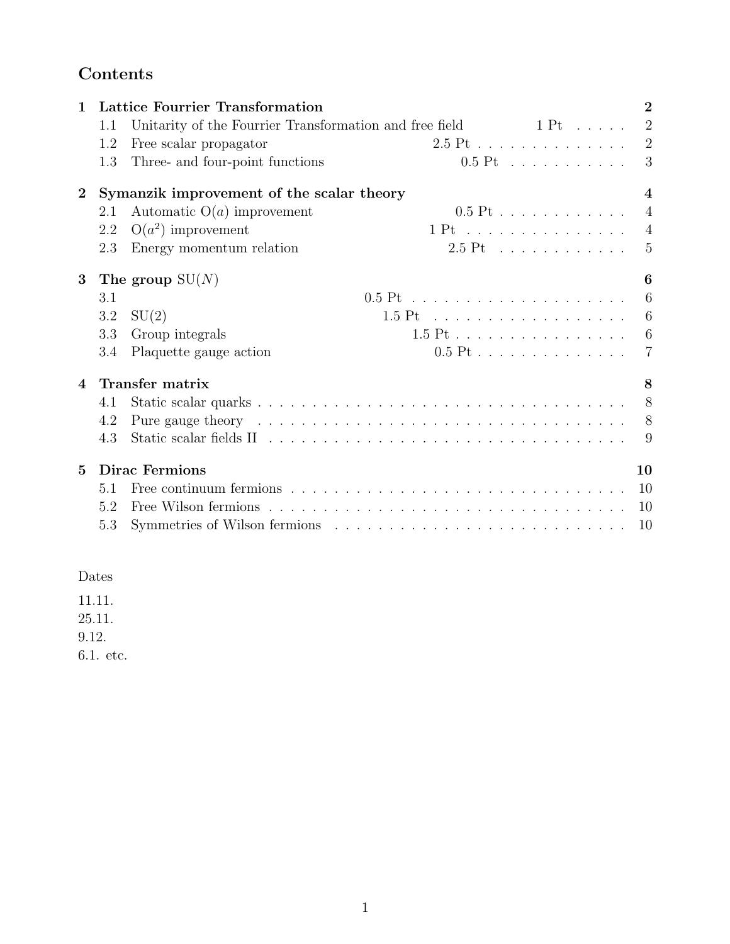# Contents

| 1              | <b>Lattice Fourrier Transformation</b>                        |                                                         |                        |                |
|----------------|---------------------------------------------------------------|---------------------------------------------------------|------------------------|----------------|
|                | 1.1                                                           | Unitarity of the Fourrier Transformation and free field | $1$ Pt $\ldots \ldots$ | $\overline{2}$ |
|                | 1.2                                                           | Free scalar propagator                                  | $2.5$ Pt               | $\overline{2}$ |
|                | 1.3                                                           | Three- and four-point functions                         | $0.5$ Pt               | 3              |
| $\overline{2}$ | Symanzik improvement of the scalar theory<br>$\boldsymbol{4}$ |                                                         |                        |                |
|                | 2.1                                                           | Automatic $O(a)$ improvement                            | $0.5$ Pt               | $\overline{4}$ |
|                | 2.2                                                           | $O(a^2)$ improvement                                    | $1 Pt$                 | $\overline{4}$ |
|                | 2.3                                                           | Energy momentum relation                                | $2.5$ Pt               | 5              |
| $\bf{3}$       |                                                               | The group $SU(N)$                                       |                        | 6              |
|                | 3.1                                                           |                                                         |                        | 6              |
|                | 3.2                                                           | SU(2)                                                   |                        | 6              |
|                | 3.3                                                           | Group integrals                                         | 1.5 Pt                 | 6              |
|                | 3.4                                                           | Plaquette gauge action                                  | $0.5$ Pt               | 7              |
| 4              | Transfer matrix                                               |                                                         |                        | 8              |
|                | 4.1                                                           |                                                         |                        | 8              |
|                | 4.2                                                           |                                                         |                        | 8              |
|                | 4.3                                                           |                                                         |                        | 9              |
| $\overline{5}$ | <b>Dirac Fermions</b>                                         |                                                         |                        | 10             |
|                | 5.1                                                           |                                                         |                        | 10             |
|                | 5.2                                                           |                                                         |                        | 10             |
|                | 5.3                                                           |                                                         |                        | 10             |

### Dates

11.11.

25.11.

9.12.

6.1. etc.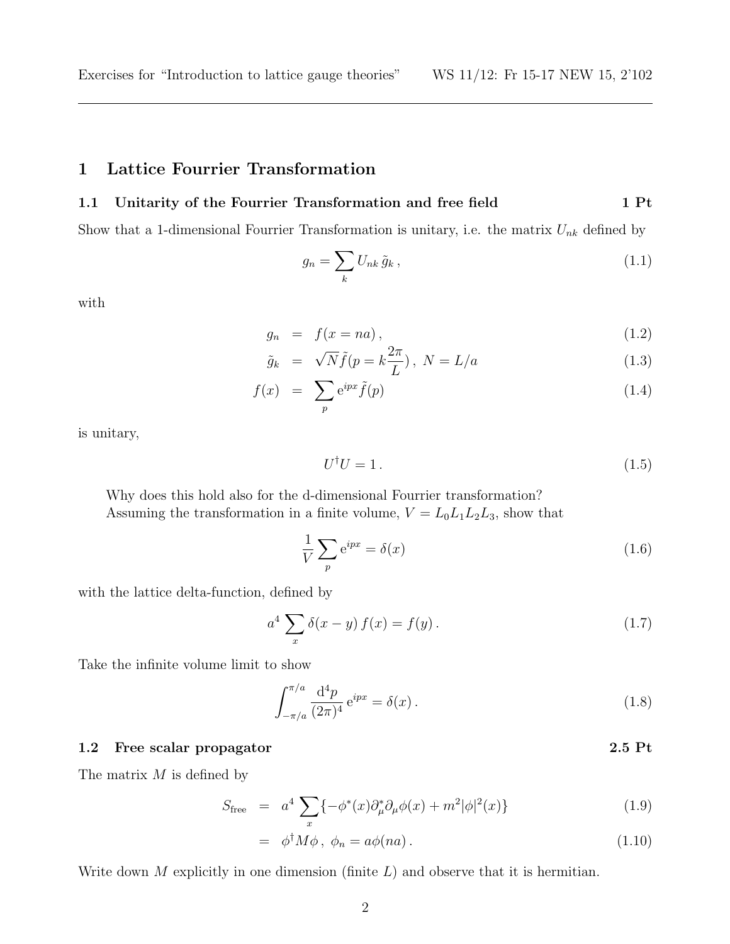### 1 Lattice Fourrier Transformation

#### 1.1 Unitarity of the Fourrier Transformation and free field 1 Pt

Show that a 1-dimensional Fourrier Transformation is unitary, i.e. the matrix  $U_{nk}$  defined by

$$
g_n = \sum_k U_{nk} \tilde{g}_k , \qquad (1.1)
$$

with

$$
g_n = f(x = na), \tag{1.2}
$$

$$
\tilde{g}_k = \sqrt{N} \tilde{f}(p = k \frac{2\pi}{L}), \ N = L/a \tag{1.3}
$$

$$
f(x) = \sum_{p} e^{ipx} \tilde{f}(p) \tag{1.4}
$$

is unitary,

$$
U^{\dagger}U = 1. \tag{1.5}
$$

Why does this hold also for the d-dimensional Fourrier transformation? Assuming the transformation in a finite volume,  $V = L_0L_1L_2L_3$ , show that

$$
\frac{1}{V} \sum_{p} e^{ipx} = \delta(x) \tag{1.6}
$$

with the lattice delta-function, defined by

$$
a^{4} \sum_{x} \delta(x - y) f(x) = f(y).
$$
 (1.7)

Take the infinite volume limit to show

$$
\int_{-\pi/a}^{\pi/a} \frac{d^4 p}{(2\pi)^4} e^{ipx} = \delta(x) \,. \tag{1.8}
$$

#### 1.2 Free scalar propagator 2.5 Pt

The matrix  $M$  is defined by

$$
S_{\text{free}} = a^4 \sum_{x} \{ -\phi^*(x) \partial_{\mu}^* \partial_{\mu} \phi(x) + m^2 |\phi|^2(x) \}
$$
 (1.9)

$$
= \phi^{\dagger} M \phi, \ \phi_n = a \phi(na). \tag{1.10}
$$

Write down  $M$  explicitly in one dimension (finite  $L$ ) and observe that it is hermitian.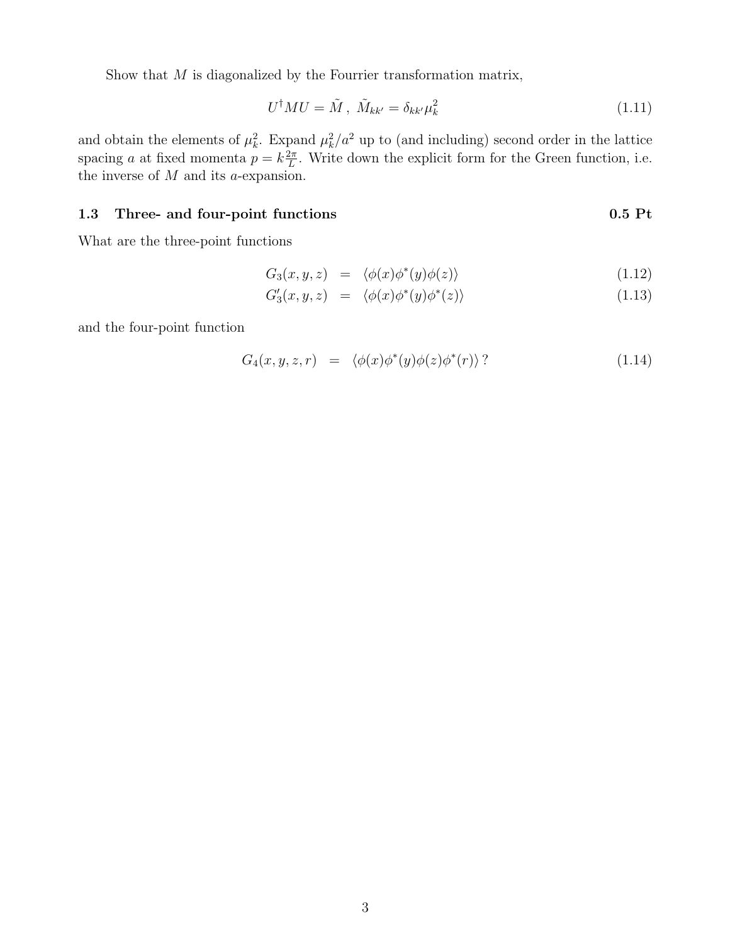Show that  $M$  is diagonalized by the Fourrier transformation matrix,

$$
U^{\dagger}MU = \tilde{M}, \ \tilde{M}_{kk'} = \delta_{kk'}\mu_k^2 \tag{1.11}
$$

and obtain the elements of  $\mu_k^2$ . Expand  $\mu_k^2/a^2$  up to (and including) second order in the lattice spacing a at fixed momenta  $p = k \frac{2\pi}{L}$  $\frac{2\pi}{L}$ . Write down the explicit form for the Green function, i.e. the inverse of  $M$  and its a-expansion.

#### 1.3 Three- and four-point functions 0.5 Pt

What are the three-point functions

$$
G_3(x, y, z) = \langle \phi(x)\phi^*(y)\phi(z) \rangle \tag{1.12}
$$

$$
G_3'(x, y, z) = \langle \phi(x)\phi^*(y)\phi^*(z) \rangle \tag{1.13}
$$

and the four-point function

$$
G_4(x, y, z, r) = \langle \phi(x)\phi^*(y)\phi(z)\phi^*(r) \rangle ? \qquad (1.14)
$$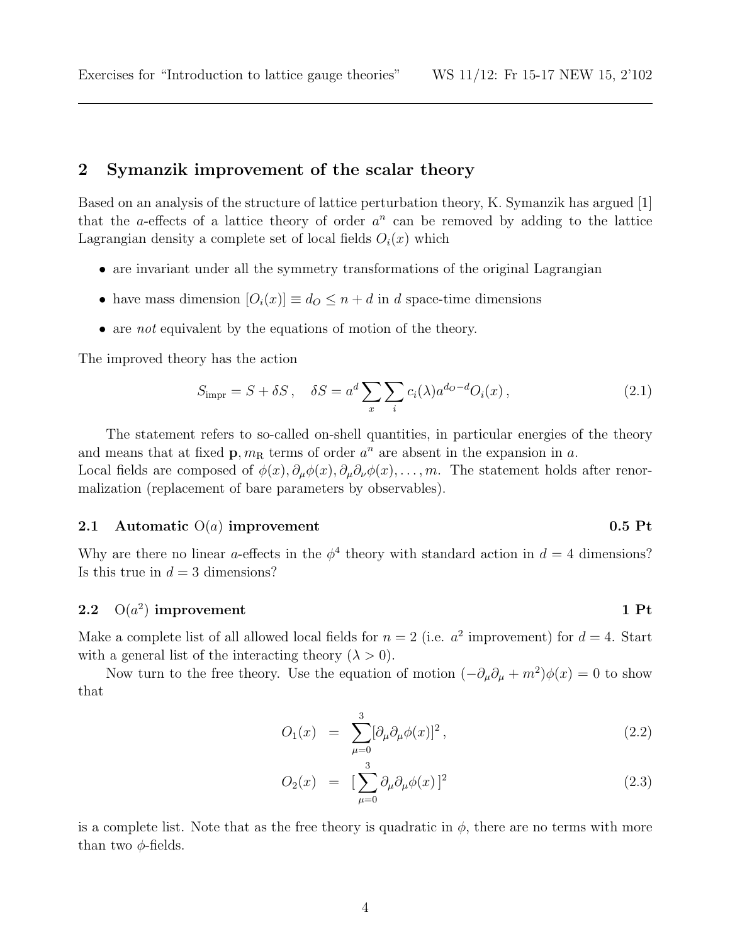### 2 Symanzik improvement of the scalar theory

Based on an analysis of the structure of lattice perturbation theory, K. Symanzik has argued [1] that the *a*-effects of a lattice theory of order  $a^n$  can be removed by adding to the lattice Lagrangian density a complete set of local fields  $O_i(x)$  which

- are invariant under all the symmetry transformations of the original Lagrangian
- have mass dimension  $[O_i(x)] \equiv d_O \leq n + d$  in d space-time dimensions
- are *not* equivalent by the equations of motion of the theory.

The improved theory has the action

$$
S_{\text{impr}} = S + \delta S, \quad \delta S = a^d \sum_{x} \sum_{i} c_i(\lambda) a^{d_O - d} O_i(x), \qquad (2.1)
$$

The statement refers to so-called on-shell quantities, in particular energies of the theory and means that at fixed  $\mathbf{p}, m_{\rm R}$  terms of order  $a^n$  are absent in the expansion in a. Local fields are composed of  $\phi(x), \partial_\mu \phi(x), \partial_\mu \partial_\nu \phi(x), \ldots, m$ . The statement holds after renormalization (replacement of bare parameters by observables).

#### 2.1 Automatic  $O(a)$  improvement 0.5 Pt

Why are there no linear a-effects in the  $\phi^4$  theory with standard action in  $d = 4$  dimensions? Is this true in  $d = 3$  dimensions?

### 2.2  $O(a^2)$  improvement 1 Pt

Make a complete list of all allowed local fields for  $n = 2$  (i.e.  $a^2$  improvement) for  $d = 4$ . Start with a general list of the interacting theory  $(\lambda > 0)$ .

Now turn to the free theory. Use the equation of motion  $\left(-\partial_{\mu}\partial_{\mu}+m^2\right)\phi(x)=0$  to show that

$$
O_1(x) = \sum_{\mu=0}^{3} [\partial_{\mu} \partial_{\mu} \phi(x)]^2, \qquad (2.2)
$$

$$
O_2(x) = \left[\sum_{\mu=0}^3 \partial_\mu \partial_\mu \phi(x)\right]^2 \tag{2.3}
$$

is a complete list. Note that as the free theory is quadratic in  $\phi$ , there are no terms with more than two  $\phi$ -fields.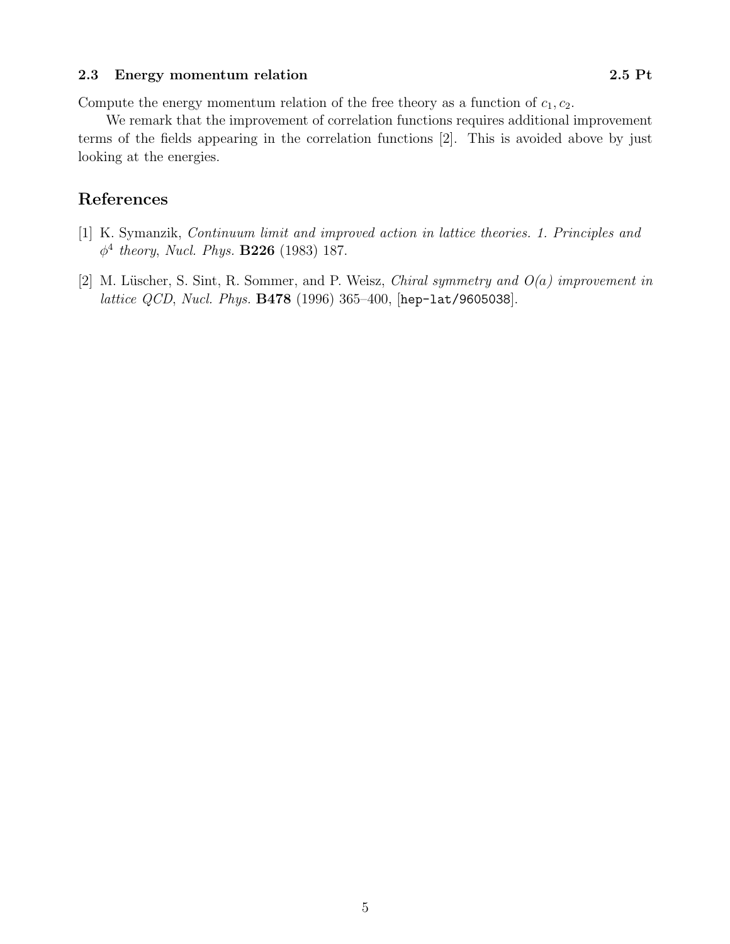#### 2.3 Energy momentum relation 2.5 Pt

Compute the energy momentum relation of the free theory as a function of  $c_1, c_2$ .

We remark that the improvement of correlation functions requires additional improvement terms of the fields appearing in the correlation functions [2]. This is avoided above by just looking at the energies.

## References

- [1] K. Symanzik, Continuum limit and improved action in lattice theories. 1. Principles and  $\phi^4$  theory, Nucl. Phys. **B226** (1983) 187.
- [2] M. Lüscher, S. Sint, R. Sommer, and P. Weisz, *Chiral symmetry and*  $O(a)$  *improvement in* lattice QCD, Nucl. Phys. B478 (1996) 365–400, [hep-lat/9605038].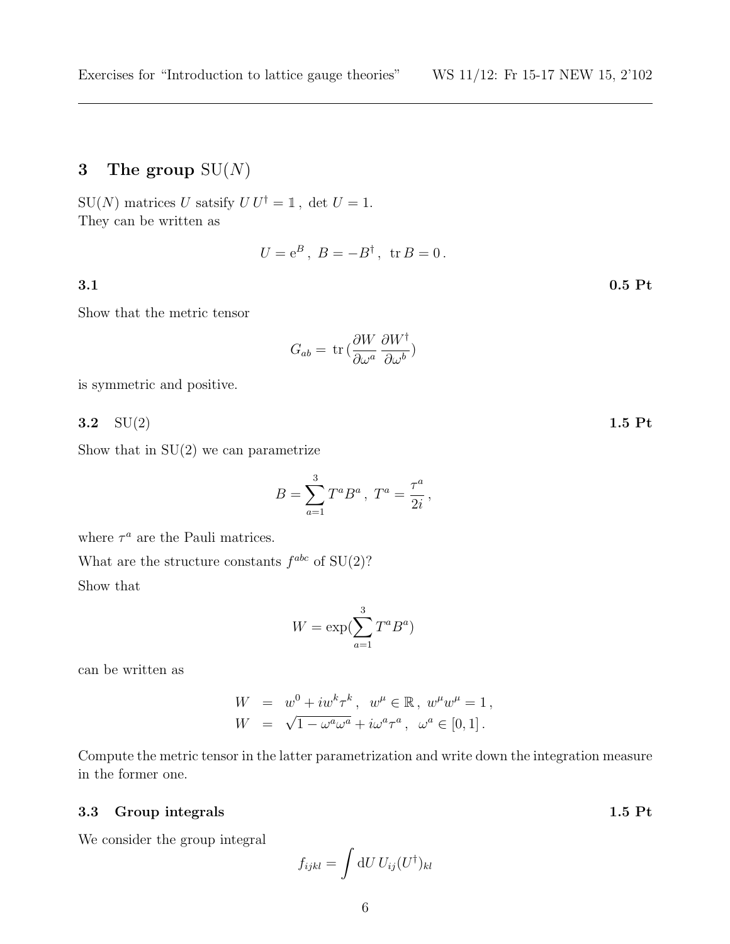# 3 The group  $SU(N)$

SU(N) matrices U satsify  $UU^{\dagger} = \mathbb{1}$ , det  $U = 1$ . They can be written as

 $U = e^B$ ,  $B = -B^{\dagger}$ ,  ${\rm tr}\, B = 0$ .

#### 3.1 0.5 Pt

Show that the metric tensor

$$
G_{ab} = \text{tr}\left(\frac{\partial W}{\partial \omega^a} \frac{\partial W^{\dagger}}{\partial \omega^b}\right)
$$

is symmetric and positive.

 $3.2 \quad \text{SU}(2)$  1.5 Pt

Show that in  $SU(2)$  we can parametrize

$$
B = \sum_{a=1}^{3} T^a B^a , T^a = \frac{\tau^a}{2i} ,
$$

where  $\tau^a$  are the Pauli matrices.

What are the structure constants  $f^{abc}$  of  $SU(2)$ ? Show that

$$
W = \exp(\sum_{a=1}^{3} T^a B^a)
$$

can be written as

$$
W = w^{0} + iw^{k} \tau^{k}, \quad w^{\mu} \in \mathbb{R}, \ w^{\mu} w^{\mu} = 1,
$$
  

$$
W = \sqrt{1 - \omega^{a} \omega^{a}} + i \omega^{a} \tau^{a}, \ \omega^{a} \in [0, 1].
$$

Compute the metric tensor in the latter parametrization and write down the integration measure in the former one.

#### 3.3 Group integrals 1.5 Pt

We consider the group integral

$$
f_{ijkl} = \int \mathrm{d}U \, U_{ij} (U^{\dagger})_{kl}
$$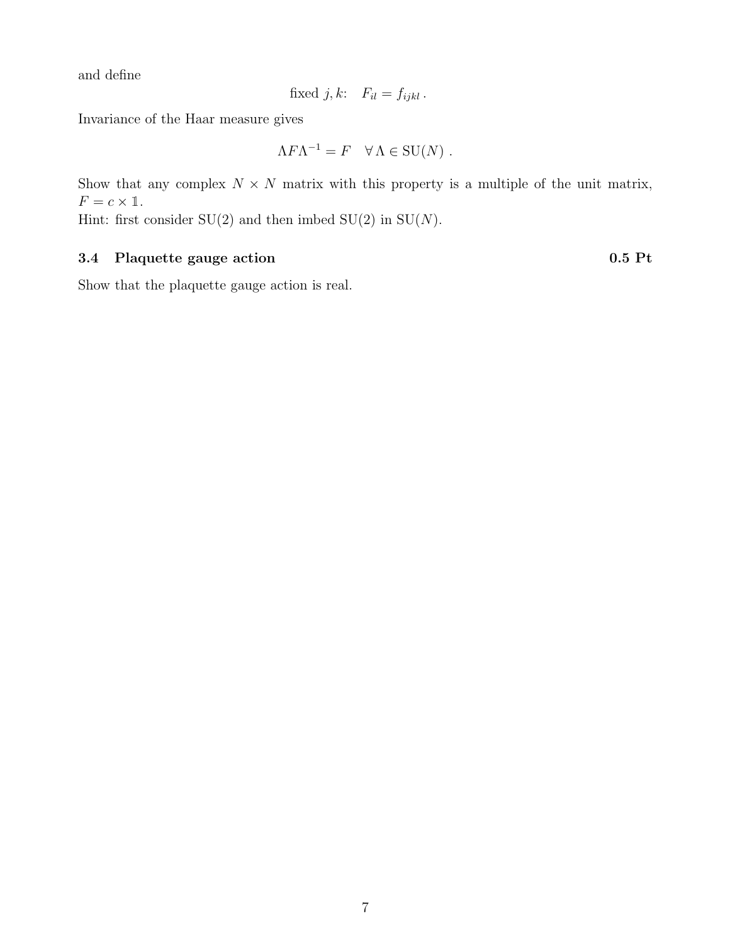and define

fixed j, k: 
$$
F_{il} = f_{ijkl}
$$
.

Invariance of the Haar measure gives

$$
\Lambda F \Lambda^{-1} = F \quad \forall \Lambda \in SU(N) .
$$

Show that any complex  $N \times N$  matrix with this property is a multiple of the unit matrix,  $F = c \times \mathbb{1}.$ 

Hint: first consider  $SU(2)$  and then imbed  $SU(2)$  in  $SU(N)$ .

### 3.4 Plaquette gauge action 0.5 Pt

Show that the plaquette gauge action is real.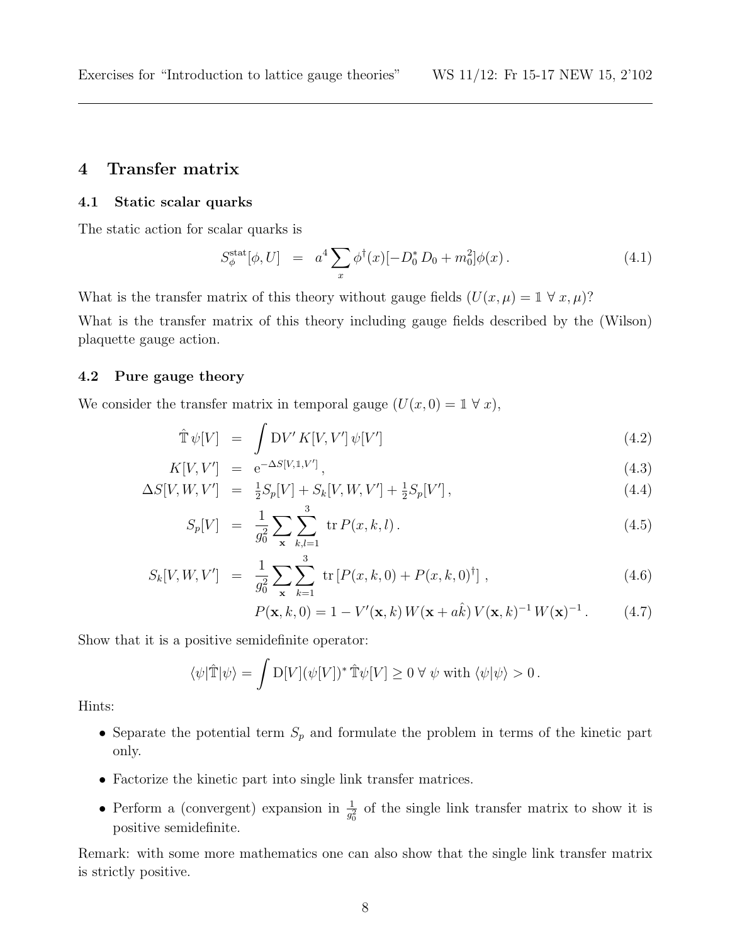### 4 Transfer matrix

#### 4.1 Static scalar quarks

The static action for scalar quarks is

$$
S_{\phi}^{\text{stat}}[\phi, U] = a^4 \sum_{x} \phi^{\dagger}(x) [-D_0^* D_0 + m_0^2] \phi(x) \,. \tag{4.1}
$$

What is the transfer matrix of this theory without gauge fields  $(U(x, \mu) = \mathbb{1} \forall x, \mu)$ ?

What is the transfer matrix of this theory including gauge fields described by the (Wilson) plaquette gauge action.

#### 4.2 Pure gauge theory

We consider the transfer matrix in temporal gauge  $(U(x, 0) = 1 \forall x)$ ,

$$
\hat{\mathbb{T}}\,\psi[V] = \int DV' K[V,V']\,\psi[V'] \tag{4.2}
$$

$$
K[V, V'] = e^{-\Delta S[V, 1, V']}, \tag{4.3}
$$
\n
$$
G[V, W, V'] = \frac{1}{2} G[V, V, W, V'] + \frac{1}{2} G[V, V'] \tag{4.4}
$$

$$
\Delta S[V, W, V'] = \frac{1}{2} S_p[V] + S_k[V, W, V'] + \frac{1}{2} S_p[V'], \qquad (4.4)
$$

$$
S_p[V] = \frac{1}{g_0^2} \sum_{\mathbf{x}} \sum_{k,l=1}^{S} \text{tr} P(x,k,l).
$$
 (4.5)

$$
S_k[V, W, V'] = \frac{1}{g_0^2} \sum_{\mathbf{x}} \sum_{k=1}^3 \text{ tr} [P(x, k, 0) + P(x, k, 0)^\dagger], \qquad (4.6)
$$

$$
P(\mathbf{x},k,0) = 1 - V'(\mathbf{x},k) W(\mathbf{x} + a\hat{k}) V(\mathbf{x},k)^{-1} W(\mathbf{x})^{-1}.
$$
 (4.7)

Show that it is a positive semidefinite operator:

$$
\langle \psi | \hat{\mathbb{T}} | \psi \rangle = \int D[V] (\psi[V])^* \hat{\mathbb{T}} \psi[V] \ge 0 \,\forall \,\psi \text{ with } \langle \psi | \psi \rangle > 0 \,.
$$

Hints:

- Separate the potential term  $S_p$  and formulate the problem in terms of the kinetic part only.
- Factorize the kinetic part into single link transfer matrices.
- Perform a (convergent) expansion in  $\frac{1}{g_0^2}$  of the single link transfer matrix to show it is positive semidefinite.

Remark: with some more mathematics one can also show that the single link transfer matrix is strictly positive.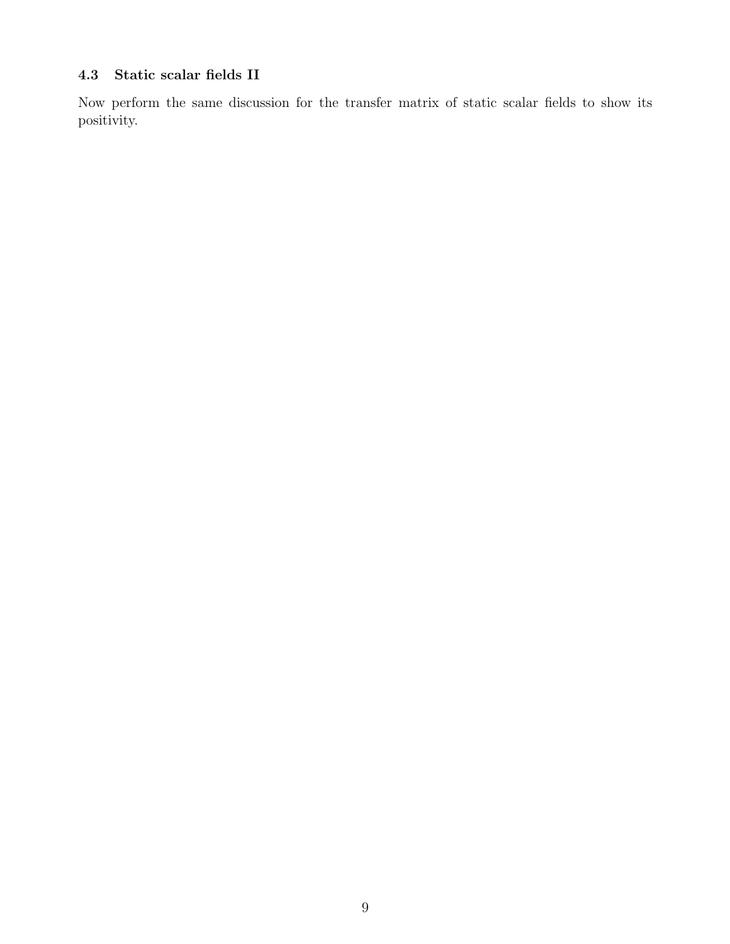# 4.3 Static scalar fields II

Now perform the same discussion for the transfer matrix of static scalar fields to show its positivity.